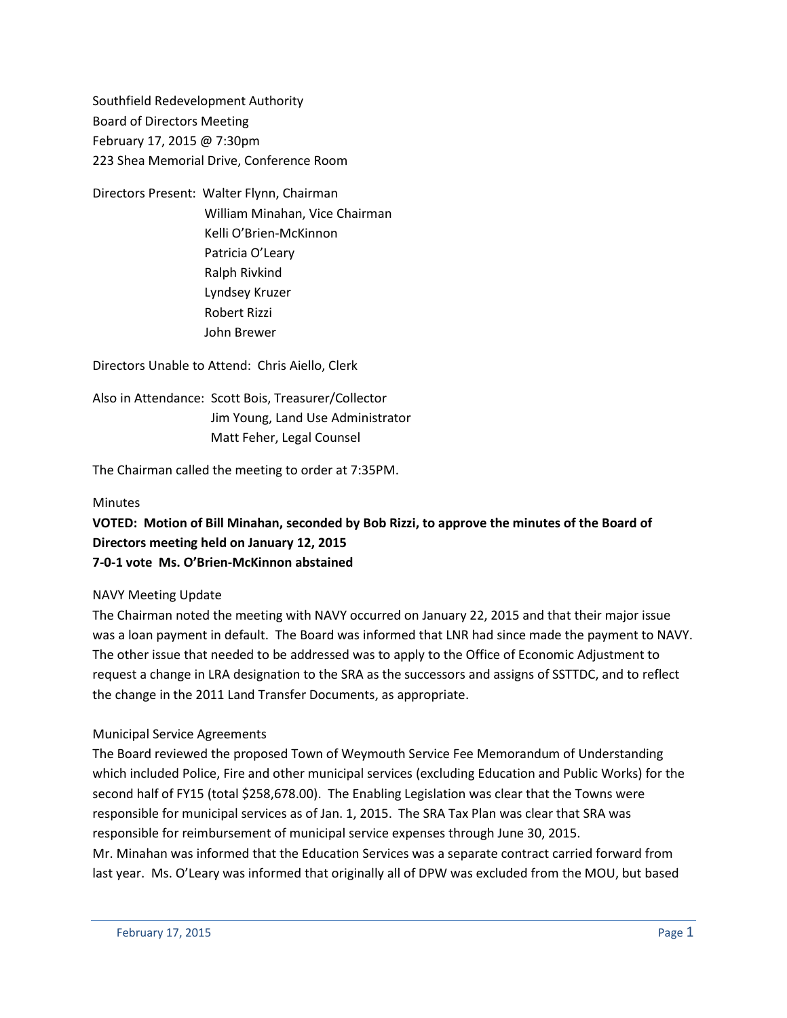Southfield Redevelopment Authority Board of Directors Meeting February 17, 2015 @ 7:30pm 223 Shea Memorial Drive, Conference Room

Directors Present: Walter Flynn, Chairman William Minahan, Vice Chairman Kelli O'Brien-McKinnon Patricia O'Leary Ralph Rivkind Lyndsey Kruzer Robert Rizzi John Brewer

Directors Unable to Attend: Chris Aiello, Clerk

Also in Attendance: Scott Bois, Treasurer/Collector Jim Young, Land Use Administrator Matt Feher, Legal Counsel

The Chairman called the meeting to order at 7:35PM.

### Minutes

# **VOTED: Motion of Bill Minahan, seconded by Bob Rizzi, to approve the minutes of the Board of Directors meeting held on January 12, 2015 7-0-1 vote Ms. O'Brien-McKinnon abstained**

#### NAVY Meeting Update

The Chairman noted the meeting with NAVY occurred on January 22, 2015 and that their major issue was a loan payment in default. The Board was informed that LNR had since made the payment to NAVY. The other issue that needed to be addressed was to apply to the Office of Economic Adjustment to request a change in LRA designation to the SRA as the successors and assigns of SSTTDC, and to reflect the change in the 2011 Land Transfer Documents, as appropriate.

#### Municipal Service Agreements

The Board reviewed the proposed Town of Weymouth Service Fee Memorandum of Understanding which included Police, Fire and other municipal services (excluding Education and Public Works) for the second half of FY15 (total \$258,678.00). The Enabling Legislation was clear that the Towns were responsible for municipal services as of Jan. 1, 2015. The SRA Tax Plan was clear that SRA was responsible for reimbursement of municipal service expenses through June 30, 2015. Mr. Minahan was informed that the Education Services was a separate contract carried forward from last year. Ms. O'Leary was informed that originally all of DPW was excluded from the MOU, but based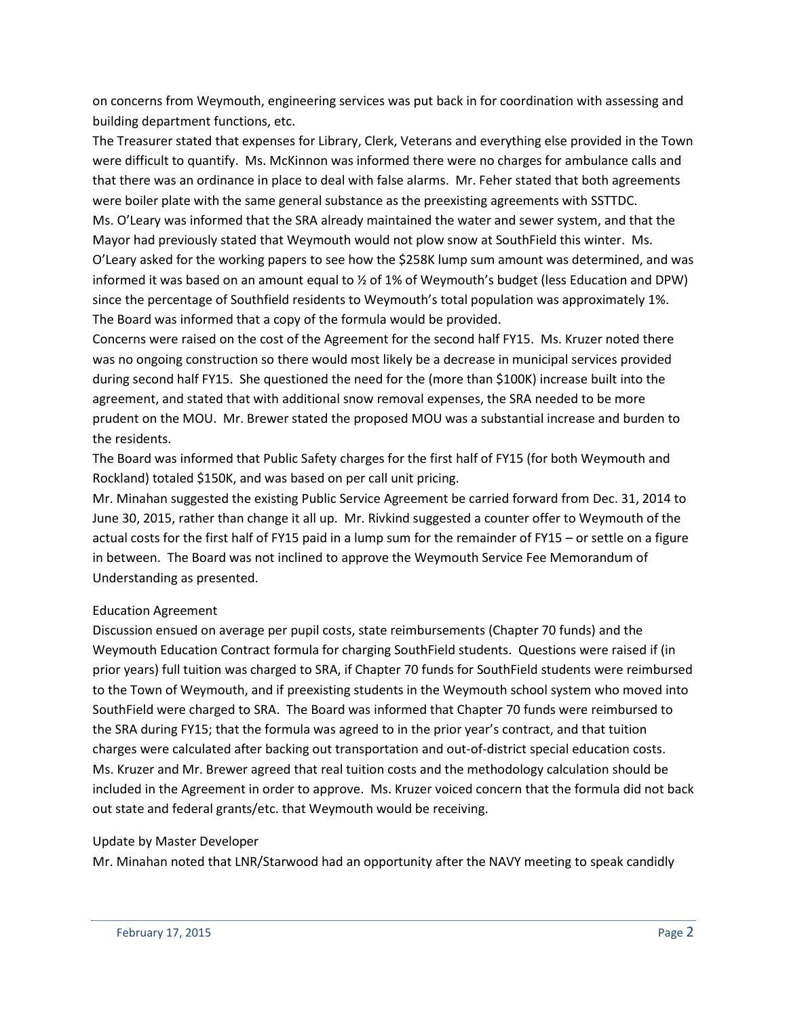on concerns from Weymouth, engineering services was put back in for coordination with assessing and building department functions, etc.

The Treasurer stated that expenses for Library, Clerk, Veterans and everything else provided in the Town were difficult to quantify. Ms. McKinnon was informed there were no charges for ambulance calls and that there was an ordinance in place to deal with false alarms. Mr. Feher stated that both agreements were boiler plate with the same general substance as the preexisting agreements with SSTTDC. Ms. O'Leary was informed that the SRA already maintained the water and sewer system, and that the Mayor had previously stated that Weymouth would not plow snow at SouthField this winter. Ms. O'Leary asked for the working papers to see how the \$258K lump sum amount was determined, and was informed it was based on an amount equal to ½ of 1% of Weymouth's budget (less Education and DPW) since the percentage of Southfield residents to Weymouth's total population was approximately 1%. The Board was informed that a copy of the formula would be provided.

Concerns were raised on the cost of the Agreement for the second half FY15. Ms. Kruzer noted there was no ongoing construction so there would most likely be a decrease in municipal services provided during second half FY15. She questioned the need for the (more than \$100K) increase built into the agreement, and stated that with additional snow removal expenses, the SRA needed to be more prudent on the MOU. Mr. Brewer stated the proposed MOU was a substantial increase and burden to the residents.

The Board was informed that Public Safety charges for the first half of FY15 (for both Weymouth and Rockland) totaled \$150K, and was based on per call unit pricing.

Mr. Minahan suggested the existing Public Service Agreement be carried forward from Dec. 31, 2014 to June 30, 2015, rather than change it all up. Mr. Rivkind suggested a counter offer to Weymouth of the actual costs for the first half of FY15 paid in a lump sum for the remainder of FY15 – or settle on a figure in between. The Board was not inclined to approve the Weymouth Service Fee Memorandum of Understanding as presented.

## Education Agreement

Discussion ensued on average per pupil costs, state reimbursements (Chapter 70 funds) and the Weymouth Education Contract formula for charging SouthField students. Questions were raised if (in prior years) full tuition was charged to SRA, if Chapter 70 funds for SouthField students were reimbursed to the Town of Weymouth, and if preexisting students in the Weymouth school system who moved into SouthField were charged to SRA. The Board was informed that Chapter 70 funds were reimbursed to the SRA during FY15; that the formula was agreed to in the prior year's contract, and that tuition charges were calculated after backing out transportation and out-of-district special education costs. Ms. Kruzer and Mr. Brewer agreed that real tuition costs and the methodology calculation should be included in the Agreement in order to approve. Ms. Kruzer voiced concern that the formula did not back out state and federal grants/etc. that Weymouth would be receiving.

## Update by Master Developer

Mr. Minahan noted that LNR/Starwood had an opportunity after the NAVY meeting to speak candidly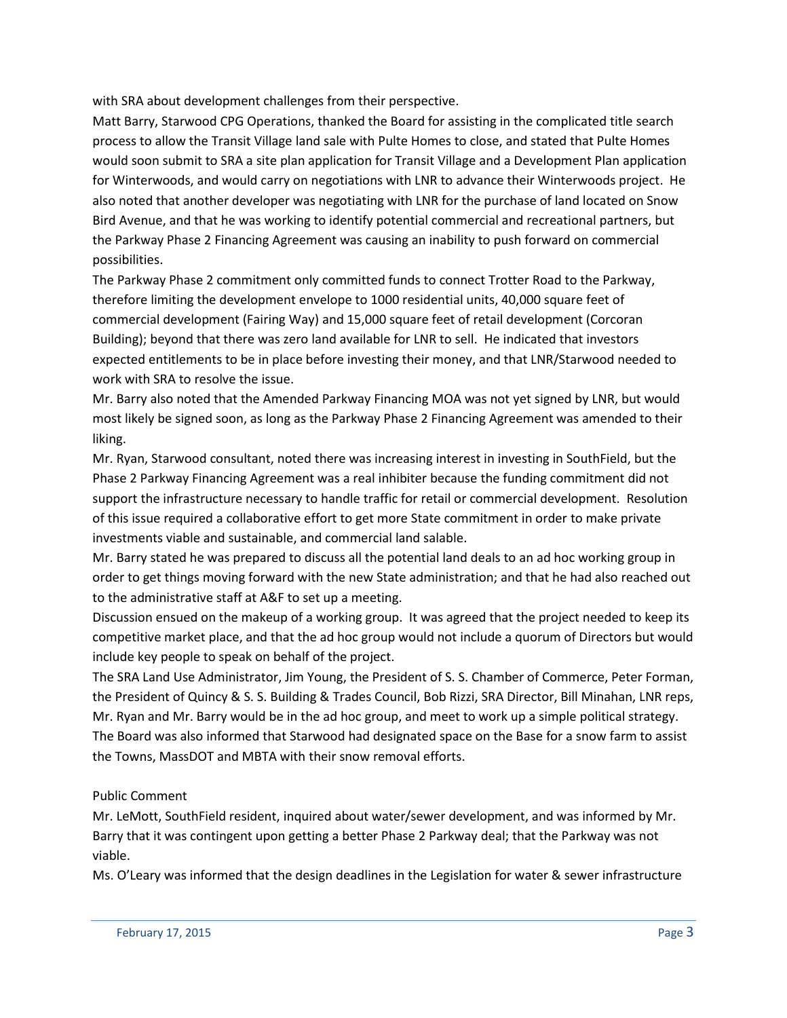with SRA about development challenges from their perspective.

Matt Barry, Starwood CPG Operations, thanked the Board for assisting in the complicated title search process to allow the Transit Village land sale with Pulte Homes to close, and stated that Pulte Homes would soon submit to SRA a site plan application for Transit Village and a Development Plan application for Winterwoods, and would carry on negotiations with LNR to advance their Winterwoods project. He also noted that another developer was negotiating with LNR for the purchase of land located on Snow Bird Avenue, and that he was working to identify potential commercial and recreational partners, but the Parkway Phase 2 Financing Agreement was causing an inability to push forward on commercial possibilities.

The Parkway Phase 2 commitment only committed funds to connect Trotter Road to the Parkway, therefore limiting the development envelope to 1000 residential units, 40,000 square feet of commercial development (Fairing Way) and 15,000 square feet of retail development (Corcoran Building); beyond that there was zero land available for LNR to sell. He indicated that investors expected entitlements to be in place before investing their money, and that LNR/Starwood needed to work with SRA to resolve the issue.

Mr. Barry also noted that the Amended Parkway Financing MOA was not yet signed by LNR, but would most likely be signed soon, as long as the Parkway Phase 2 Financing Agreement was amended to their liking.

Mr. Ryan, Starwood consultant, noted there was increasing interest in investing in SouthField, but the Phase 2 Parkway Financing Agreement was a real inhibiter because the funding commitment did not support the infrastructure necessary to handle traffic for retail or commercial development. Resolution of this issue required a collaborative effort to get more State commitment in order to make private investments viable and sustainable, and commercial land salable.

Mr. Barry stated he was prepared to discuss all the potential land deals to an ad hoc working group in order to get things moving forward with the new State administration; and that he had also reached out to the administrative staff at A&F to set up a meeting.

Discussion ensued on the makeup of a working group. It was agreed that the project needed to keep its competitive market place, and that the ad hoc group would not include a quorum of Directors but would include key people to speak on behalf of the project.

The SRA Land Use Administrator, Jim Young, the President of S. S. Chamber of Commerce, Peter Forman, the President of Quincy & S. S. Building & Trades Council, Bob Rizzi, SRA Director, Bill Minahan, LNR reps, Mr. Ryan and Mr. Barry would be in the ad hoc group, and meet to work up a simple political strategy. The Board was also informed that Starwood had designated space on the Base for a snow farm to assist the Towns, MassDOT and MBTA with their snow removal efforts.

## Public Comment

Mr. LeMott, SouthField resident, inquired about water/sewer development, and was informed by Mr. Barry that it was contingent upon getting a better Phase 2 Parkway deal; that the Parkway was not viable.

Ms. O'Leary was informed that the design deadlines in the Legislation for water & sewer infrastructure